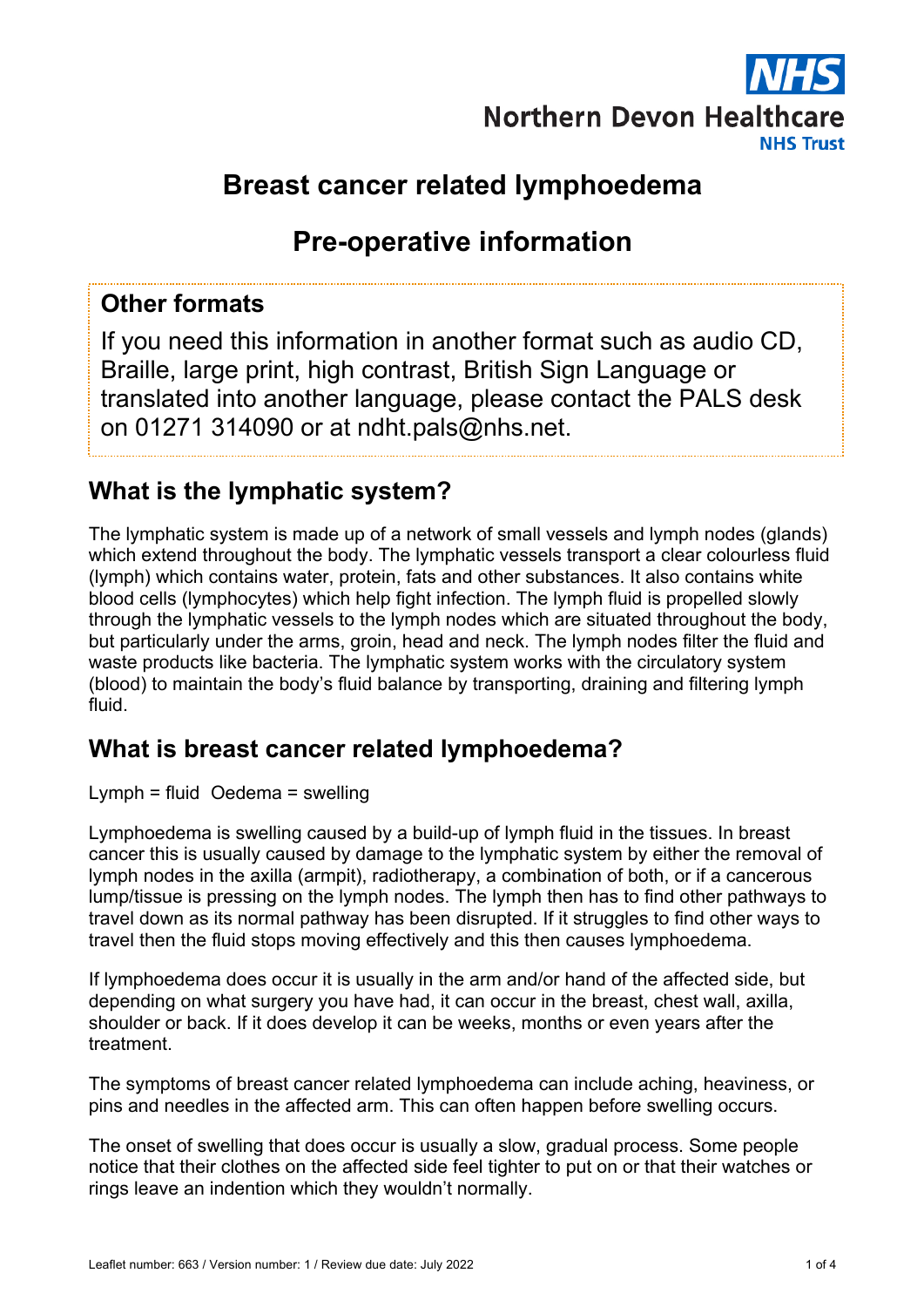

# **Breast cancer related lymphoedema**

# **Pre-operative information**

## **Other formats**

If you need this information in another format such as audio CD, Braille, large print, high contrast, British Sign Language or translated into another language, please contact the PALS desk on 01271 314090 or at ndht.pals@nhs.net.

## **What is the lymphatic system?**

The lymphatic system is made up of a network of small vessels and lymph nodes (glands) which extend throughout the body. The lymphatic vessels transport a clear colourless fluid (lymph) which contains water, protein, fats and other substances. It also contains white blood cells (lymphocytes) which help fight infection. The lymph fluid is propelled slowly through the lymphatic vessels to the lymph nodes which are situated throughout the body, but particularly under the arms, groin, head and neck. The lymph nodes filter the fluid and waste products like bacteria. The lymphatic system works with the circulatory system (blood) to maintain the body's fluid balance by transporting, draining and filtering lymph fluid.

## **What is breast cancer related lymphoedema?**

Lymph = fluid Oedema = swelling

Lymphoedema is swelling caused by a build-up of lymph fluid in the tissues. In breast cancer this is usually caused by damage to the lymphatic system by either the removal of lymph nodes in the axilla (armpit), radiotherapy, a combination of both, or if a cancerous lump/tissue is pressing on the lymph nodes. The lymph then has to find other pathways to travel down as its normal pathway has been disrupted. If it struggles to find other ways to travel then the fluid stops moving effectively and this then causes lymphoedema.

If lymphoedema does occur it is usually in the arm and/or hand of the affected side, but depending on what surgery you have had, it can occur in the breast, chest wall, axilla, shoulder or back. If it does develop it can be weeks, months or even years after the treatment.

The symptoms of breast cancer related lymphoedema can include aching, heaviness, or pins and needles in the affected arm. This can often happen before swelling occurs.

The onset of swelling that does occur is usually a slow, gradual process. Some people notice that their clothes on the affected side feel tighter to put on or that their watches or rings leave an indention which they wouldn't normally.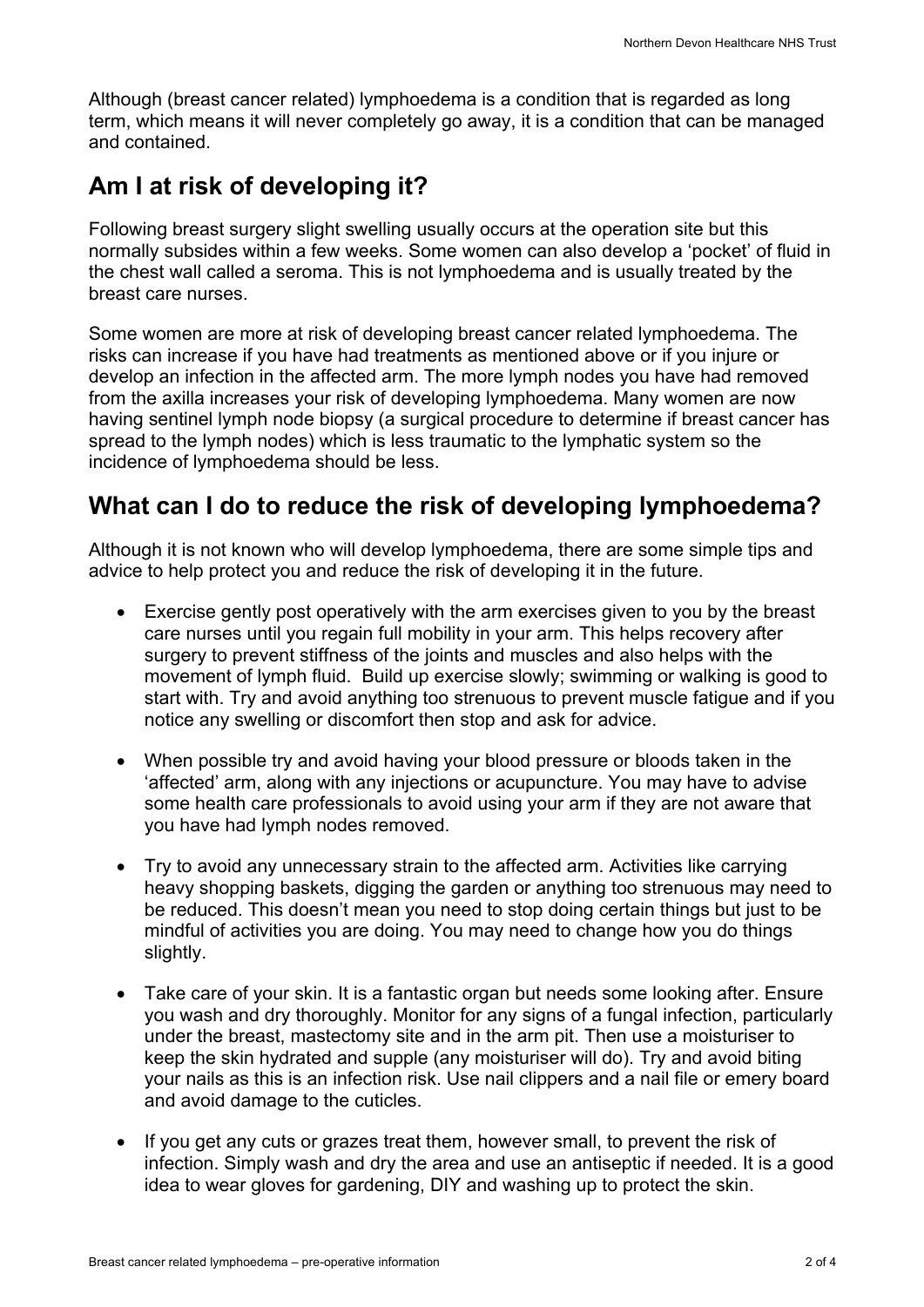Although (breast cancer related) lymphoedema is a condition that is regarded as long term, which means it will never completely go away, it is a condition that can be managed and contained.

## **Am I at risk of developing it?**

Following breast surgery slight swelling usually occurs at the operation site but this normally subsides within a few weeks. Some women can also develop a 'pocket' of fluid in the chest wall called a seroma. This is not lymphoedema and is usually treated by the breast care nurses.

Some women are more at risk of developing breast cancer related lymphoedema. The risks can increase if you have had treatments as mentioned above or if you injure or develop an infection in the affected arm. The more lymph nodes you have had removed from the axilla increases your risk of developing lymphoedema. Many women are now having sentinel lymph node biopsy (a surgical procedure to determine if breast cancer has spread to the lymph nodes) which is less traumatic to the lymphatic system so the incidence of lymphoedema should be less.

## **What can I do to reduce the risk of developing lymphoedema?**

Although it is not known who will develop lymphoedema, there are some simple tips and advice to help protect you and reduce the risk of developing it in the future.

- Exercise gently post operatively with the arm exercises given to you by the breast care nurses until you regain full mobility in your arm. This helps recovery after surgery to prevent stiffness of the joints and muscles and also helps with the movement of lymph fluid. Build up exercise slowly; swimming or walking is good to start with. Try and avoid anything too strenuous to prevent muscle fatigue and if you notice any swelling or discomfort then stop and ask for advice.
- When possible try and avoid having your blood pressure or bloods taken in the 'affected' arm, along with any injections or acupuncture. You may have to advise some health care professionals to avoid using your arm if they are not aware that you have had lymph nodes removed.
- Try to avoid any unnecessary strain to the affected arm. Activities like carrying heavy shopping baskets, digging the garden or anything too strenuous may need to be reduced. This doesn't mean you need to stop doing certain things but just to be mindful of activities you are doing. You may need to change how you do things slightly.
- Take care of your skin. It is a fantastic organ but needs some looking after. Ensure you wash and dry thoroughly. Monitor for any signs of a fungal infection, particularly under the breast, mastectomy site and in the arm pit. Then use a moisturiser to keep the skin hydrated and supple (any moisturiser will do). Try and avoid biting your nails as this is an infection risk. Use nail clippers and a nail file or emery board and avoid damage to the cuticles.
- If you get any cuts or grazes treat them, however small, to prevent the risk of infection. Simply wash and dry the area and use an antiseptic if needed. It is a good idea to wear gloves for gardening, DIY and washing up to protect the skin.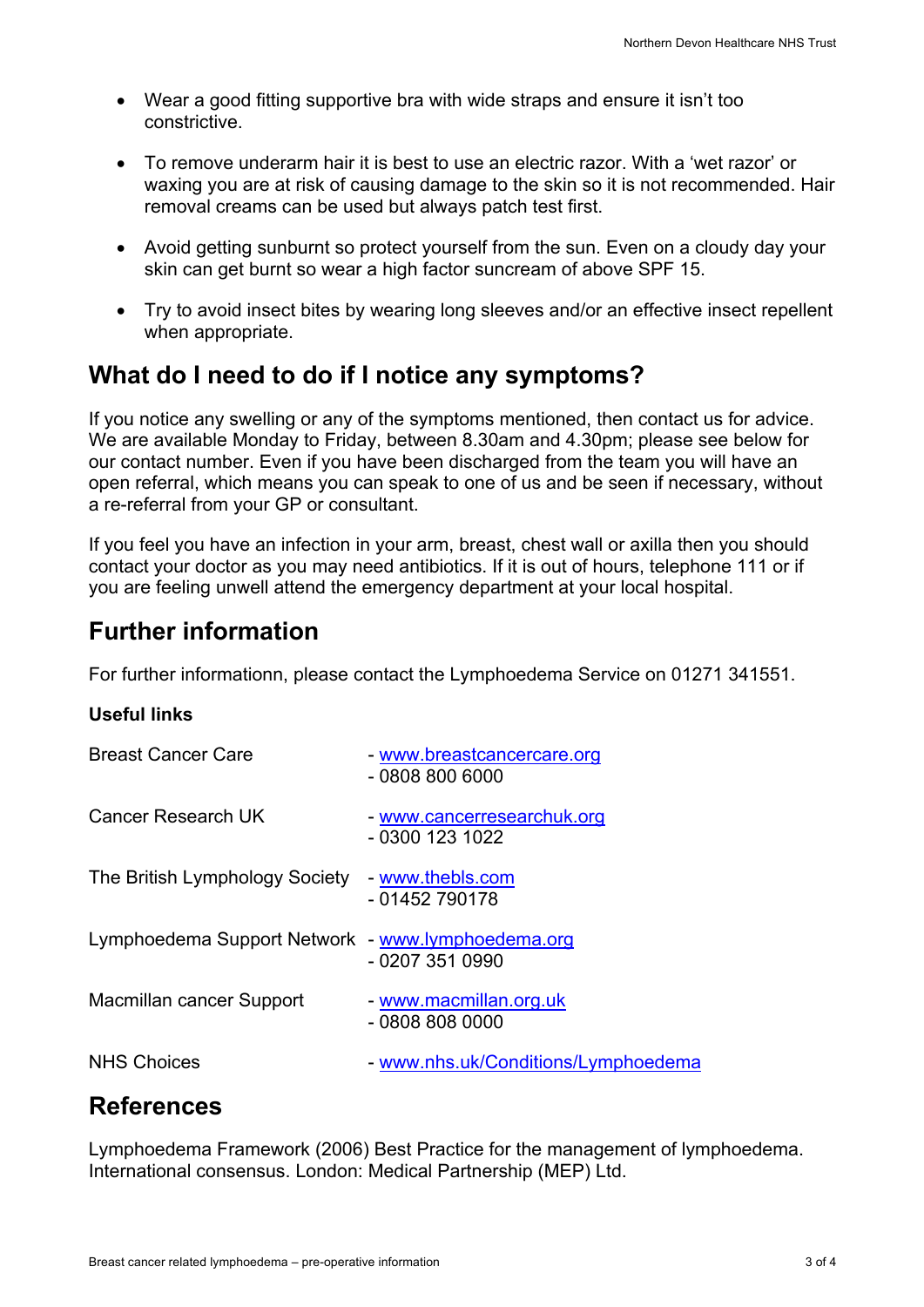- Wear a good fitting supportive bra with wide straps and ensure it isn't too constrictive.
- To remove underarm hair it is best to use an electric razor. With a 'wet razor' or waxing you are at risk of causing damage to the skin so it is not recommended. Hair removal creams can be used but always patch test first.
- Avoid getting sunburnt so protect yourself from the sun. Even on a cloudy day your skin can get burnt so wear a high factor suncream of above SPF 15.
- Try to avoid insect bites by wearing long sleeves and/or an effective insect repellent when appropriate.

## **What do I need to do if I notice any symptoms?**

If you notice any swelling or any of the symptoms mentioned, then contact us for advice. We are available Monday to Friday, between 8.30am and 4.30pm; please see below for our contact number. Even if you have been discharged from the team you will have an open referral, which means you can speak to one of us and be seen if necessary, without a re-referral from your GP or consultant.

If you feel you have an infection in your arm, breast, chest wall or axilla then you should contact your doctor as you may need antibiotics. If it is out of hours, telephone 111 or if you are feeling unwell attend the emergency department at your local hospital.

## **Further information**

For further informationn, please contact the Lymphoedema Service on 01271 341551.

### **Useful links**

| <b>Breast Cancer Care</b>                         | - www.breastcancercare.org<br>$-08088006000$  |
|---------------------------------------------------|-----------------------------------------------|
| Cancer Research UK                                | - www.cancerresearchuk.org<br>- 0300 123 1022 |
| The British Lymphology Society                    | - www.thebls.com<br>- 01452 790178            |
| Lymphoedema Support Network - www.lymphoedema.org | $-02073510990$                                |
| Macmillan cancer Support                          | - www.macmillan.org.uk<br>$-08088080000$      |
| <b>NHS Choices</b>                                | - www.nhs.uk/Conditions/Lymphoedema           |

## **References**

Lymphoedema Framework (2006) Best Practice for the management of lymphoedema. International consensus. London: Medical Partnership (MEP) Ltd.